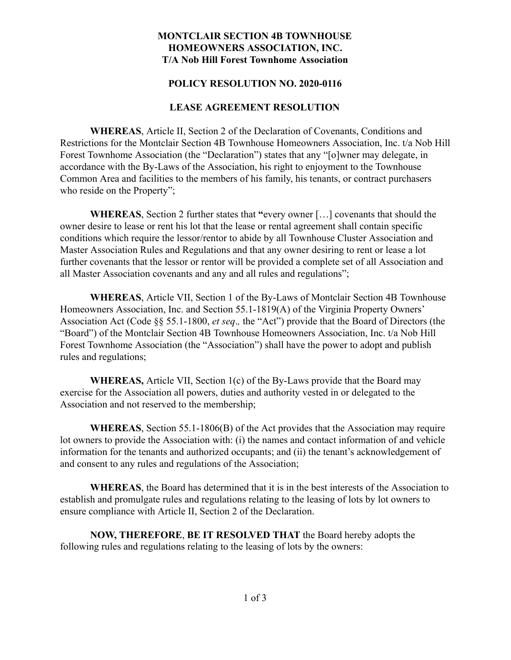## **MONTCLAIR SECTION 4B TOWNHOUSE HOMEOWNERS ASSOCIATION, INC. T/A Nob Hill Forest Townhome Association**

### **POLICY RESOLUTION NO. 2020-0116**

### **LEASE AGREEMENT RESOLUTION**

**WHEREAS** , Article II, Section 2 of the Declaration of Covenants, Conditions and Restrictions for the Montclair Section 4B Townhouse Homeowners Association, Inc. t/a Nob Hill Forest Townhome Association (the "Declaration") states that any "[o]wner may delegate, in accordance with the By-Laws of the Association, his right to enjoyment to the Townhouse Common Area and facilities to the members of his family, his tenants, or contract purchasers who reside on the Property";

**WHEREAS**, Section 2 further states that "every owner [...] covenants that should the owner desire to lease or rent his lot that the lease or rental agreement shall contain specific conditions which require the lessor/rentor to abide by all Townhouse Cluster Association and Master Association Rules and Regulations and that any owner desiring to rent or lease a lot further covenants that the lessor or rentor will be provided a complete set of all Association and all Master Association covenants and any and all rules and regulations";

**WHEREAS** , Article VII, Section 1 of the By-Laws of Montclair Section 4B Townhouse Homeowners Association, Inc. and Section 55.1-1819(A) of the Virginia Property Owners' Association Act (Code §§ 55.1-1800, *et seq.*, the "Act") provide that the Board of Directors (the "Board") of the Montclair Section 4B Townhouse Homeowners Association, Inc. t/a Nob Hill Forest Townhome Association (the "Association") shall have the power to adopt and publish rules and regulations;

**WHEREAS,** Article VII, Section 1(c) of the By-Laws provide that the Board may exercise for the Association all powers, duties and authority vested in or delegated to the Association and not reserved to the membership;

**WHEREAS** , Section 55.1-1806(B) of the Act provides that the Association may require lot owners to provide the Association with: (i) the names and contact information of and vehicle information for the tenants and authorized occupants; and (ii) the tenant's acknowledgement of and consent to any rules and regulations of the Association;

**WHEREAS** , the Board has determined that it is in the best interests of the Association to establish and promulgate rules and regulations relating to the leasing of lots by lot owners to ensure compliance with Article II, Section 2 of the Declaration.

**NOW, THEREFORE** , **BE IT RESOLVED THAT** the Board hereby adopts the following rules and regulations relating to the leasing of lots by the owners: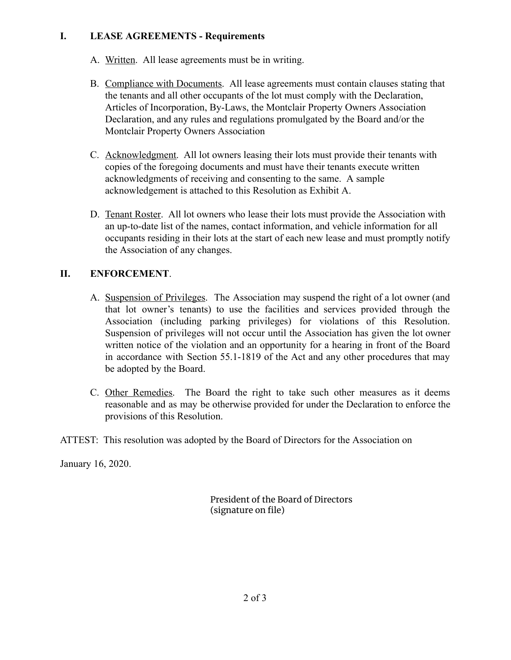# **I. LEASE AGREEMENTS - Requirements**

- A. Written. All lease agreements must be in writing.
- B. Compliance with Documents . All lease agreements must contain clauses stating that the tenants and all other occupants of the lot must comply with the Declaration, Articles of Incorporation, By-Laws, the Montclair Property Owners Association Declaration, and any rules and regulations promulgated by the Board and/or the Montclair Property Owners Association
- C. Acknowledgment. All lot owners leasing their lots must provide their tenants with copies of the foregoing documents and must have their tenants execute written acknowledgments of receiving and consenting to the same. A sample acknowledgement is attached to this Resolution as Exhibit A.
- D. Tenant Roster. All lot owners who lease their lots must provide the Association with an up-to-date list of the names, contact information, and vehicle information for all occupants residing in their lots at the start of each new lease and must promptly notify the Association of any changes.

# **II. ENFORCEMENT.**

- A. Suspension of Privileges. The Association may suspend the right of a lot owner (and that lot owner's tenants) to use the facilities and services provided through the Association (including parking privileges) for violations of this Resolution. Suspension of privileges will not occur until the Association has given the lot owner written notice of the violation and an opportunity for a hearing in front of the Board in accordance with Section 55.1-1819 of the Act and any other procedures that may be adopted by the Board.
- C. Other Remedies. The Board the right to take such other measures as it deems reasonable and as may be otherwise provided for under the Declaration to enforce the provisions of this Resolution.
- ATTEST: This resolution was adopted by the Board of Directors for the Association on

January 16, 2020.

President of the Board of Directors (signature on file)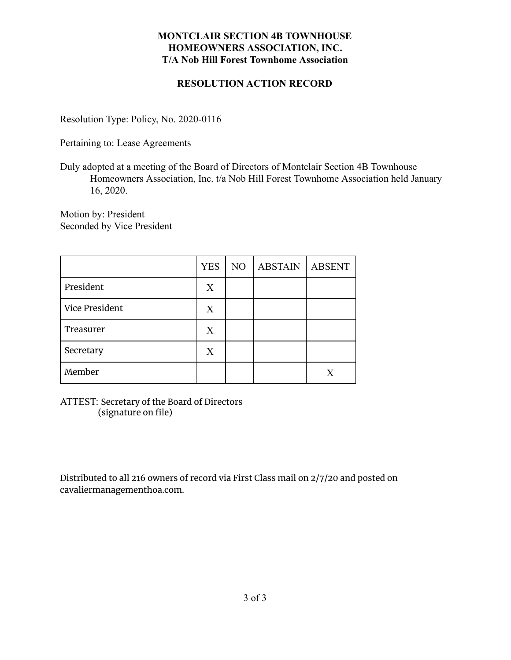# **MONTCLAIR SECTION 4B TOWNHOUSE HOMEOWNERS ASSOCIATION, INC. T/A Nob Hill Forest Townhome Association**

## **RESOLUTION ACTION RECORD**

Resolution Type: Policy, No. 2020-0116

Pertaining to: Lease Agreements

Duly adopted at a meeting of the Board of Directors of Montclair Section 4B Townhouse Homeowners Association, Inc. t/a Nob Hill Forest Townhome Association held January 16, 2020.

Motion by: President Seconded by Vice President

|                | <b>YES</b> | N <sub>O</sub> | <b>ABSTAIN</b> | <b>ABSENT</b> |
|----------------|------------|----------------|----------------|---------------|
| President      | X          |                |                |               |
| Vice President | X          |                |                |               |
| Treasurer      | X          |                |                |               |
| Secretary      | X          |                |                |               |
| Member         |            |                |                | X             |

ATTEST: Secretary of the Board of Directors (signature on file)

Distributed to all 216 owners of record via First Class mail on 2/7/20 and posted on cavaliermanagementhoa.com.